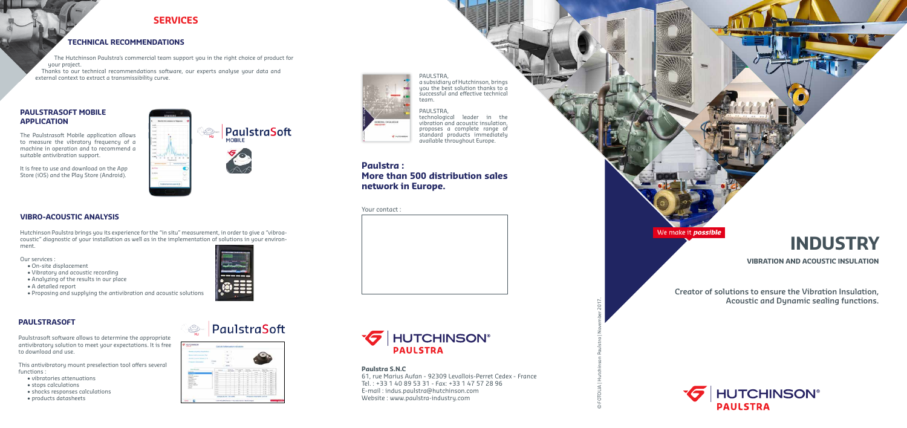

PAULSTRA, a subsidiary of Hutchinson, brings you the best solution thanks to a successful and effective technical team.

# PAULSTRA,

technological leader in the vibration and acoustic insulation, proposes a complete range of standard products immediately available throughout Europe.

# **Paulstra : More than 500 distribution sales network in Europe.**

|  | Your contact: |  |
|--|---------------|--|
|--|---------------|--|



### **Paulstra S.N.C**

61, rue Marius Aufan - 92309 Levallois-Perret Cedex - France Tel. : +33 1 40 89 53 31 - Fax: +33 1 47 57 28 96 E-mail : indus.paulstra@hutchinson.com Website : www.paulstra-industry.com

© FOTOLIA | Hutchinson Paulstra | November 2017.

#### **VIBRATION AND ACOUSTIC INSULATION**

**Creator of solutions to ensure the Vibration Insulation, Acoustic and Dynamic sealing functions.**



We make it **possible** 

# **SERVICES**

## **VIBRO-ACOUSTIC ANALYSIS**

Hutchinson Paulstra brings you its experience for the "in situ" measurement, in order to give a "vibroacoustic" diagnostic of your installation as well as in the implementation of solutions in your environment.

Our services :

- On-site displacement
- Vibratory and acoustic recording
- Analyzing of the results in our place
- A detailed report
- Proposing and supplying the antivibration and acoustic solutions



### **PAULSTRASOFT**

Paulstrasoft software allows to determine the appropriate antivibratory solution to meet your expectations. It is free to download and use.

This antivibratory mount preselection tool offers several functions :

- vibratories attenuations
- stops calculations
- shocks responses calculations
- products datasheets

# PaulstraSoft

| NUTCHINSON*<br><b>COLLAGE A</b>                                                                                                                                    |                                                                                                      | Automaker and the<br>Calcul d'atténuation elétatoire |               |                              |                                             |                                  |                                                       |
|--------------------------------------------------------------------------------------------------------------------------------------------------------------------|------------------------------------------------------------------------------------------------------|------------------------------------------------------|---------------|------------------------------|---------------------------------------------|----------------------------------|-------------------------------------------------------|
| come to the spotterial of copyrighted books<br>Bones Grade is accounted that<br>Bosselez de presidentes (1970)<br><b>PERMIT</b><br><b>Transport &amp; Discount</b> | $-200$                                                                                               | $-4 - 1$<br>٠<br>B.<br>Time T<br>mine")              |               |                              |                                             |                                  |                                                       |
| <b>Service Advised</b>                                                                                                                                             | ಜ                                                                                                    |                                                      |               | <b>Ballion</b><br>please and |                                             | <b>SERVICE AND REAL</b><br>maine |                                                       |
| <b>FRANKLIC</b>                                                                                                                                                    | <b>TELES</b>                                                                                         |                                                      | ۰             |                              | <b>STATE</b>                                | 11.08                            |                                                       |
| <b>CALL AT</b>                                                                                                                                                     | <b>ISS</b>                                                                                           |                                                      | ×             | ü<br>m                       | <b>ALCOHOL</b>                              | tole<br><b>SILLER</b>            | H                                                     |
| period publication                                                                                                                                                 | <b>Line</b>                                                                                          |                                                      | $\equiv$      | $\rightarrow$                | $\sim$                                      | 1116                             |                                                       |
| <b>Holter</b><br><b>ALCOHOL:</b>                                                                                                                                   | <b>Line</b>                                                                                          |                                                      | ú             | 91                           | w                                           | w                                |                                                       |
| <b>LORICATE</b>                                                                                                                                                    | <b>Links</b><br>--                                                                                   |                                                      | <br>÷         | --<br>$\rightarrow$          | $\sim$<br>$\overline{a}$<br>                | <br>LF18<br>≕                    | $-1$<br>$\frac{1}{2}$<br>a strain                     |
| A 49 AT 21 Y                                                                                                                                                       | $\frac{1}{2} \left( \frac{1}{2} \right) \left( \frac{1}{2} \right) \left( \frac{1}{2} \right)$<br>-- |                                                      | $\rightarrow$ | m                            | ÷                                           | <b>ALCOHOL:</b>                  | $\sim$                                                |
| SAMUEL LOOK                                                                                                                                                        | <b>SAFE</b>                                                                                          |                                                      | $\sim$        | w                            |                                             | <b>Advise</b>                    |                                                       |
| <b>ATA SAGAR</b><br>Maria<br>Maria                                                                                                                                 | <b>Ling</b>                                                                                          | 1.11<br>- -                                          | u             | ŵ                            |                                             | <b>STG</b>                       | eam                                                   |
|                                                                                                                                                                    | <b>COLLEGE</b>                                                                                       | --                                                   | ы             | w                            | ٠                                           | 11.14                            | H2                                                    |
|                                                                                                                                                                    | <b>THEFT</b>                                                                                         |                                                      | m             | w<br>o                       |                                             | 11.18                            | $\equiv$<br>--<br>٠                                   |
|                                                                                                                                                                    | w                                                                                                    |                                                      | $\cdots$      | w                            |                                             | 2272                             | $\rightarrow$                                         |
|                                                                                                                                                                    | m                                                                                                    |                                                      | w             | <b>THE</b>                   |                                             | 111                              | $-$<br>$\overline{a}$<br><b><i><u>Service</u></i></b> |
|                                                                                                                                                                    |                                                                                                      | Closiation (ms ) 24 E meto                           |               |                              | <b>Friedrich Plantistice . 25 Friedrich</b> |                                  |                                                       |



### **TECHNICAL RECOMMENDATIONS**

The Hutchinson Paulstra's commercial team support you in the right choice of product for your project.

Thanks to our technical recommendations software, our experts analyse your data and external context to extract a transmissibility curve.

### **PAULSTRASOFT MOBILE APPLICATION**

The Paulstrasoft Mobile application allows to measure the vibratory frequency of a machine in operation and to recommend a suitable antivibration support.

It is free to use and download on the App Store (iOS) and the Play Store (Android).